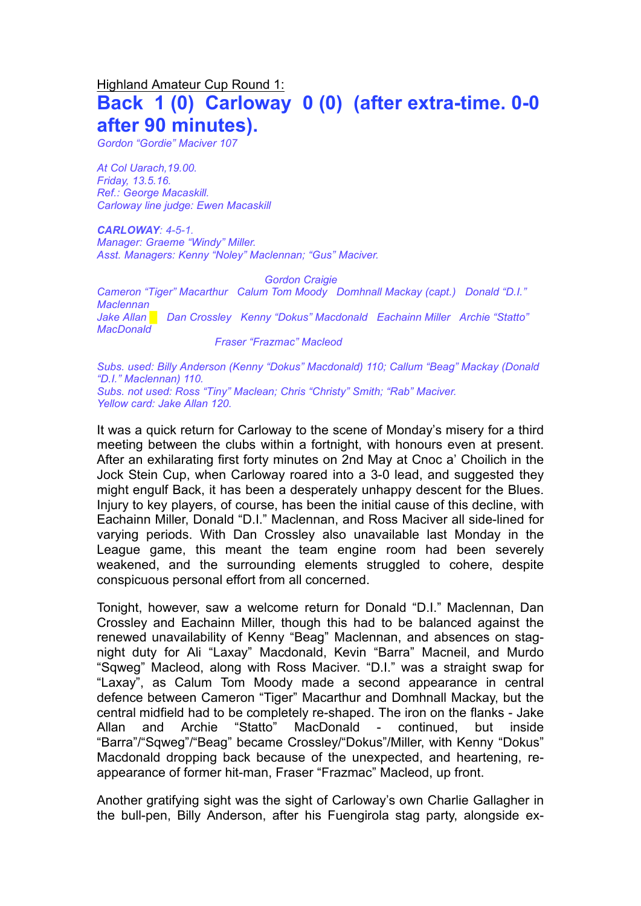## Highland Amateur Cup Round 1:

# **Back 1 (0) Carloway 0 (0) (after extra-time. 0-0 after 90 minutes).**

*Gordon "Gordie" Maciver 107*

*At Col Uarach,19.00. Friday, 13.5.16. Ref.: George Macaskill. Carloway line judge: Ewen Macaskill*

*CARLOWAY: 4-5-1. Manager: Graeme "Windy" Miller. Asst. Managers: Kenny "Noley" Maclennan; "Gus" Maciver.*

*Gordon Craigie*

*Cameron "Tiger" Macarthur Calum Tom Moody Domhnall Mackay (capt.) Donald "D.I." Maclennan Jake Allan █ Dan Crossley Kenny "Dokus" Macdonald Eachainn Miller Archie "Statto" MacDonald*

*Fraser "Frazmac" Macleod*

*Subs. used: Billy Anderson (Kenny "Dokus" Macdonald) 110; Callum "Beag" Mackay (Donald "D.I." Maclennan) 110. Subs. not used: Ross "Tiny" Maclean; Chris "Christy" Smith; "Rab" Maciver. Yellow card: Jake Allan 120.* 

It was a quick return for Carloway to the scene of Monday's misery for a third meeting between the clubs within a fortnight, with honours even at present. After an exhilarating first forty minutes on 2nd May at Cnoc a' Choilich in the Jock Stein Cup, when Carloway roared into a 3-0 lead, and suggested they might engulf Back, it has been a desperately unhappy descent for the Blues. Injury to key players, of course, has been the initial cause of this decline, with Eachainn Miller, Donald "D.I." Maclennan, and Ross Maciver all side-lined for varying periods. With Dan Crossley also unavailable last Monday in the League game, this meant the team engine room had been severely weakened, and the surrounding elements struggled to cohere, despite conspicuous personal effort from all concerned.

Tonight, however, saw a welcome return for Donald "D.I." Maclennan, Dan Crossley and Eachainn Miller, though this had to be balanced against the renewed unavailability of Kenny "Beag" Maclennan, and absences on stagnight duty for Ali "Laxay" Macdonald, Kevin "Barra" Macneil, and Murdo "Sqweg" Macleod, along with Ross Maciver. "D.I." was a straight swap for "Laxay", as Calum Tom Moody made a second appearance in central defence between Cameron "Tiger" Macarthur and Domhnall Mackay, but the central midfield had to be completely re-shaped. The iron on the flanks - Jake Allan and Archie "Statto" MacDonald - continued, but inside "Barra"/"Sqweg"/"Beag" became Crossley/"Dokus"/Miller, with Kenny "Dokus" Macdonald dropping back because of the unexpected, and heartening, reappearance of former hit-man, Fraser "Frazmac" Macleod, up front.

Another gratifying sight was the sight of Carloway's own Charlie Gallagher in the bull-pen, Billy Anderson, after his Fuengirola stag party, alongside ex-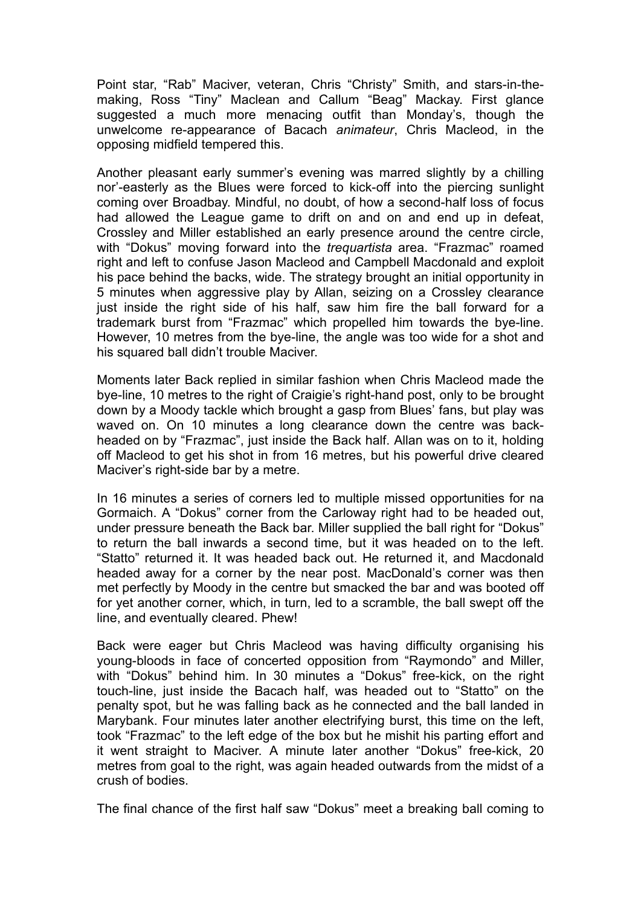Point star, "Rab" Maciver, veteran, Chris "Christy" Smith, and stars-in-themaking, Ross "Tiny" Maclean and Callum "Beag" Mackay. First glance suggested a much more menacing outfit than Monday's, though the unwelcome re-appearance of Bacach *animateur*, Chris Macleod, in the opposing midfield tempered this.

Another pleasant early summer's evening was marred slightly by a chilling nor'-easterly as the Blues were forced to kick-off into the piercing sunlight coming over Broadbay. Mindful, no doubt, of how a second-half loss of focus had allowed the League game to drift on and on and end up in defeat, Crossley and Miller established an early presence around the centre circle, with "Dokus" moving forward into the *trequartista* area. "Frazmac" roamed right and left to confuse Jason Macleod and Campbell Macdonald and exploit his pace behind the backs, wide. The strategy brought an initial opportunity in 5 minutes when aggressive play by Allan, seizing on a Crossley clearance just inside the right side of his half, saw him fire the ball forward for a trademark burst from "Frazmac" which propelled him towards the bye-line. However, 10 metres from the bye-line, the angle was too wide for a shot and his squared ball didn't trouble Maciver.

Moments later Back replied in similar fashion when Chris Macleod made the bye-line, 10 metres to the right of Craigie's right-hand post, only to be brought down by a Moody tackle which brought a gasp from Blues' fans, but play was waved on. On 10 minutes a long clearance down the centre was backheaded on by "Frazmac", just inside the Back half. Allan was on to it, holding off Macleod to get his shot in from 16 metres, but his powerful drive cleared Maciver's right-side bar by a metre.

In 16 minutes a series of corners led to multiple missed opportunities for na Gormaich. A "Dokus" corner from the Carloway right had to be headed out, under pressure beneath the Back bar. Miller supplied the ball right for "Dokus" to return the ball inwards a second time, but it was headed on to the left. "Statto" returned it. It was headed back out. He returned it, and Macdonald headed away for a corner by the near post. MacDonald's corner was then met perfectly by Moody in the centre but smacked the bar and was booted off for yet another corner, which, in turn, led to a scramble, the ball swept off the line, and eventually cleared. Phew!

Back were eager but Chris Macleod was having difficulty organising his young-bloods in face of concerted opposition from "Raymondo" and Miller, with "Dokus" behind him. In 30 minutes a "Dokus" free-kick, on the right touch-line, just inside the Bacach half, was headed out to "Statto" on the penalty spot, but he was falling back as he connected and the ball landed in Marybank. Four minutes later another electrifying burst, this time on the left, took "Frazmac" to the left edge of the box but he mishit his parting effort and it went straight to Maciver. A minute later another "Dokus" free-kick, 20 metres from goal to the right, was again headed outwards from the midst of a crush of bodies.

The final chance of the first half saw "Dokus" meet a breaking ball coming to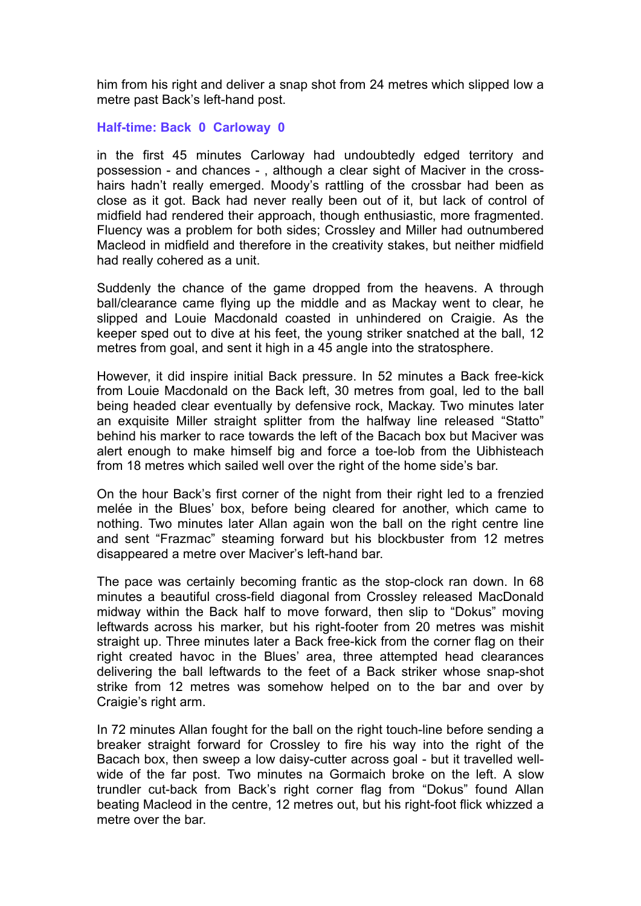him from his right and deliver a snap shot from 24 metres which slipped low a metre past Back's left-hand post.

## **Half-time: Back 0 Carloway 0**

in the first 45 minutes Carloway had undoubtedly edged territory and possession - and chances - , although a clear sight of Maciver in the crosshairs hadn't really emerged. Moody's rattling of the crossbar had been as close as it got. Back had never really been out of it, but lack of control of midfield had rendered their approach, though enthusiastic, more fragmented. Fluency was a problem for both sides; Crossley and Miller had outnumbered Macleod in midfield and therefore in the creativity stakes, but neither midfield had really cohered as a unit.

Suddenly the chance of the game dropped from the heavens. A through ball/clearance came flying up the middle and as Mackay went to clear, he slipped and Louie Macdonald coasted in unhindered on Craigie. As the keeper sped out to dive at his feet, the young striker snatched at the ball, 12 metres from goal, and sent it high in a 45 angle into the stratosphere.

However, it did inspire initial Back pressure. In 52 minutes a Back free-kick from Louie Macdonald on the Back left, 30 metres from goal, led to the ball being headed clear eventually by defensive rock, Mackay. Two minutes later an exquisite Miller straight splitter from the halfway line released "Statto" behind his marker to race towards the left of the Bacach box but Maciver was alert enough to make himself big and force a toe-lob from the Uibhisteach from 18 metres which sailed well over the right of the home side's bar.

On the hour Back's first corner of the night from their right led to a frenzied melée in the Blues' box, before being cleared for another, which came to nothing. Two minutes later Allan again won the ball on the right centre line and sent "Frazmac" steaming forward but his blockbuster from 12 metres disappeared a metre over Maciver's left-hand bar.

The pace was certainly becoming frantic as the stop-clock ran down. In 68 minutes a beautiful cross-field diagonal from Crossley released MacDonald midway within the Back half to move forward, then slip to "Dokus" moving leftwards across his marker, but his right-footer from 20 metres was mishit straight up. Three minutes later a Back free-kick from the corner flag on their right created havoc in the Blues' area, three attempted head clearances delivering the ball leftwards to the feet of a Back striker whose snap-shot strike from 12 metres was somehow helped on to the bar and over by Craigie's right arm.

In 72 minutes Allan fought for the ball on the right touch-line before sending a breaker straight forward for Crossley to fire his way into the right of the Bacach box, then sweep a low daisy-cutter across goal - but it travelled wellwide of the far post. Two minutes na Gormaich broke on the left. A slow trundler cut-back from Back's right corner flag from "Dokus" found Allan beating Macleod in the centre, 12 metres out, but his right-foot flick whizzed a metre over the bar.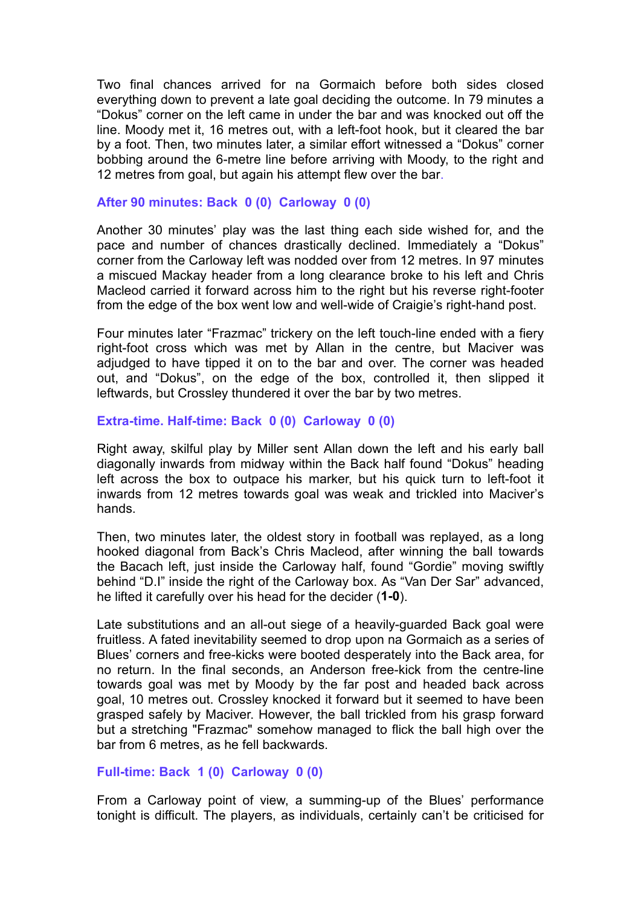Two final chances arrived for na Gormaich before both sides closed everything down to prevent a late goal deciding the outcome. In 79 minutes a "Dokus" corner on the left came in under the bar and was knocked out off the line. Moody met it, 16 metres out, with a left-foot hook, but it cleared the bar by a foot. Then, two minutes later, a similar effort witnessed a "Dokus" corner bobbing around the 6-metre line before arriving with Moody, to the right and 12 metres from goal, but again his attempt flew over the bar.

#### **After 90 minutes: Back 0 (0) Carloway 0 (0)**

Another 30 minutes' play was the last thing each side wished for, and the pace and number of chances drastically declined. Immediately a "Dokus" corner from the Carloway left was nodded over from 12 metres. In 97 minutes a miscued Mackay header from a long clearance broke to his left and Chris Macleod carried it forward across him to the right but his reverse right-footer from the edge of the box went low and well-wide of Craigie's right-hand post.

Four minutes later "Frazmac" trickery on the left touch-line ended with a fiery right-foot cross which was met by Allan in the centre, but Maciver was adjudged to have tipped it on to the bar and over. The corner was headed out, and "Dokus", on the edge of the box, controlled it, then slipped it leftwards, but Crossley thundered it over the bar by two metres.

#### **Extra-time. Half-time: Back 0 (0) Carloway 0 (0)**

Right away, skilful play by Miller sent Allan down the left and his early ball diagonally inwards from midway within the Back half found "Dokus" heading left across the box to outpace his marker, but his quick turn to left-foot it inwards from 12 metres towards goal was weak and trickled into Maciver's hands.

Then, two minutes later, the oldest story in football was replayed, as a long hooked diagonal from Back's Chris Macleod, after winning the ball towards the Bacach left, just inside the Carloway half, found "Gordie" moving swiftly behind "D.I" inside the right of the Carloway box. As "Van Der Sar" advanced, he lifted it carefully over his head for the decider (**1-0**).

Late substitutions and an all-out siege of a heavily-guarded Back goal were fruitless. A fated inevitability seemed to drop upon na Gormaich as a series of Blues' corners and free-kicks were booted desperately into the Back area, for no return. In the final seconds, an Anderson free-kick from the centre-line towards goal was met by Moody by the far post and headed back across goal, 10 metres out. Crossley knocked it forward but it seemed to have been grasped safely by Maciver. However, the ball trickled from his grasp forward but a stretching "Frazmac" somehow managed to flick the ball high over the bar from 6 metres, as he fell backwards.

### **Full-time: Back 1 (0) Carloway 0 (0)**

From a Carloway point of view, a summing-up of the Blues' performance tonight is difficult. The players, as individuals, certainly can't be criticised for